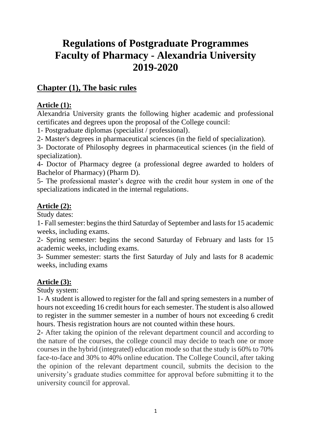# **Regulations of Postgraduate Programmes Faculty of Pharmacy - Alexandria University 2019-2020**

# **Chapter (1), The basic rules**

#### **Article (1):**

Alexandria University grants the following higher academic and professional certificates and degrees upon the proposal of the College council:

1- Postgraduate diplomas (specialist / professional).

2- Master's degrees in pharmaceutical sciences (in the field of specialization).

3- Doctorate of Philosophy degrees in pharmaceutical sciences (in the field of specialization).

4- Doctor of Pharmacy degree (a professional degree awarded to holders of Bachelor of Pharmacy) (Pharm D).

5- The professional master's degree with the credit hour system in one of the specializations indicated in the internal regulations.

### **Article (2):**

Study dates:

1- Fall semester: begins the third Saturday of September and lasts for 15 academic weeks, including exams.

2- Spring semester: begins the second Saturday of February and lasts for 15 academic weeks, including exams.

3- Summer semester: starts the first Saturday of July and lasts for 8 academic weeks, including exams

#### **Article (3):**

Study system:

1- A student is allowed to register for the fall and spring semesters in a number of hours not exceeding 16 credit hours for each semester. The student is also allowed to register in the summer semester in a number of hours not exceeding 6 credit hours. Thesis registration hours are not counted within these hours.

2- After taking the opinion of the relevant department council and according to the nature of the courses, the college council may decide to teach one or more courses in the hybrid (integrated) education mode so that the study is 60% to 70% face-to-face and 30% to 40% online education. The College Council, after taking the opinion of the relevant department council, submits the decision to the university's graduate studies committee for approval before submitting it to the university council for approval.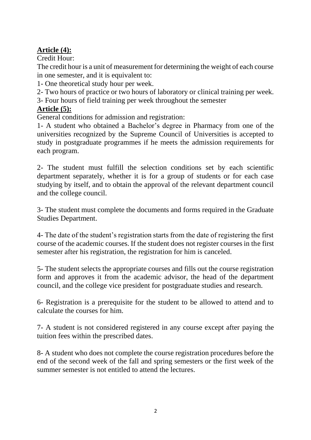# **Article (4):**

Credit Hour:

The credit hour is a unit of measurement for determining the weight of each course in one semester, and it is equivalent to:

1- One theoretical study hour per week.

2- Two hours of practice or two hours of laboratory or clinical training per week.

3- Four hours of field training per week throughout the semester

# **Article (5):**

General conditions for admission and registration:

1- A student who obtained a Bachelor's degree in Pharmacy from one of the universities recognized by the Supreme Council of Universities is accepted to study in postgraduate programmes if he meets the admission requirements for each program.

2- The student must fulfill the selection conditions set by each scientific department separately, whether it is for a group of students or for each case studying by itself, and to obtain the approval of the relevant department council and the college council.

3- The student must complete the documents and forms required in the Graduate Studies Department.

4- The date of the student's registration starts from the date of registering the first course of the academic courses. If the student does not register courses in the first semester after his registration, the registration for him is canceled.

5- The student selects the appropriate courses and fills out the course registration form and approves it from the academic advisor, the head of the department council, and the college vice president for postgraduate studies and research.

6- Registration is a prerequisite for the student to be allowed to attend and to calculate the courses for him.

7- A student is not considered registered in any course except after paying the tuition fees within the prescribed dates.

8- A student who does not complete the course registration procedures before the end of the second week of the fall and spring semesters or the first week of the summer semester is not entitled to attend the lectures.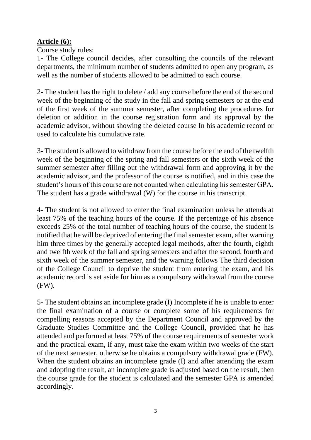# **Article (6):**

Course study rules:

1- The College council decides, after consulting the councils of the relevant departments, the minimum number of students admitted to open any program, as well as the number of students allowed to be admitted to each course.

2- The student has the right to delete / add any course before the end of the second week of the beginning of the study in the fall and spring semesters or at the end of the first week of the summer semester, after completing the procedures for deletion or addition in the course registration form and its approval by the academic advisor, without showing the deleted course In his academic record or used to calculate his cumulative rate.

3- The student is allowed to withdraw from the course before the end of the twelfth week of the beginning of the spring and fall semesters or the sixth week of the summer semester after filling out the withdrawal form and approving it by the academic advisor, and the professor of the course is notified, and in this case the student's hours of this course are not counted when calculating his semester GPA. The student has a grade withdrawal (W) for the course in his transcript.

4- The student is not allowed to enter the final examination unless he attends at least 75% of the teaching hours of the course. If the percentage of his absence exceeds 25% of the total number of teaching hours of the course, the student is notified that he will be deprived of entering the final semester exam, after warning him three times by the generally accepted legal methods, after the fourth, eighth and twelfth week of the fall and spring semesters and after the second, fourth and sixth week of the summer semester, and the warning follows The third decision of the College Council to deprive the student from entering the exam, and his academic record is set aside for him as a compulsory withdrawal from the course (FW).

5- The student obtains an incomplete grade (I) Incomplete if he is unable to enter the final examination of a course or complete some of his requirements for compelling reasons accepted by the Department Council and approved by the Graduate Studies Committee and the College Council, provided that he has attended and performed at least 75% of the course requirements of semester work and the practical exam, if any, must take the exam within two weeks of the start of the next semester, otherwise he obtains a compulsory withdrawal grade (FW). When the student obtains an incomplete grade (I) and after attending the exam and adopting the result, an incomplete grade is adjusted based on the result, then the course grade for the student is calculated and the semester GPA is amended accordingly.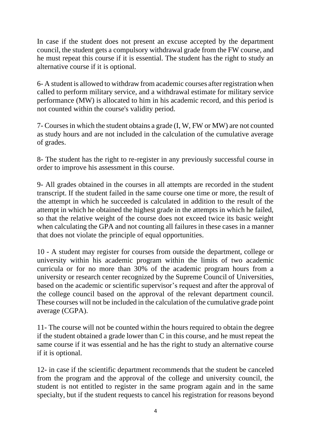In case if the student does not present an excuse accepted by the department council, the student gets a compulsory withdrawal grade from the FW course, and he must repeat this course if it is essential. The student has the right to study an alternative course if it is optional.

6- A student is allowed to withdraw from academic courses after registration when called to perform military service, and a withdrawal estimate for military service performance (MW) is allocated to him in his academic record, and this period is not counted within the course's validity period.

7- Courses in which the student obtains a grade (I, W, FW or MW) are not counted as study hours and are not included in the calculation of the cumulative average of grades.

8- The student has the right to re-register in any previously successful course in order to improve his assessment in this course.

9- All grades obtained in the courses in all attempts are recorded in the student transcript. If the student failed in the same course one time or more, the result of the attempt in which he succeeded is calculated in addition to the result of the attempt in which he obtained the highest grade in the attempts in which he failed, so that the relative weight of the course does not exceed twice its basic weight when calculating the GPA and not counting all failures in these cases in a manner that does not violate the principle of equal opportunities.

10 - A student may register for courses from outside the department, college or university within his academic program within the limits of two academic curricula or for no more than 30% of the academic program hours from a university or research center recognized by the Supreme Council of Universities, based on the academic or scientific supervisor's request and after the approval of the college council based on the approval of the relevant department council. These courses will not be included in the calculation of the cumulative grade point average (CGPA).

11- The course will not be counted within the hours required to obtain the degree if the student obtained a grade lower than C in this course, and he must repeat the same course if it was essential and he has the right to study an alternative course if it is optional.

12- in case if the scientific department recommends that the student be canceled from the program and the approval of the college and university council, the student is not entitled to register in the same program again and in the same specialty, but if the student requests to cancel his registration for reasons beyond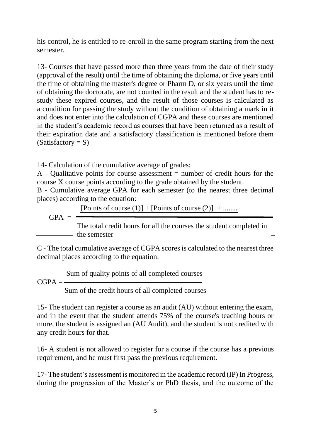his control, he is entitled to re-enroll in the same program starting from the next semester.

13- Courses that have passed more than three years from the date of their study (approval of the result) until the time of obtaining the diploma, or five years until the time of obtaining the master's degree or Pharm D, or six years until the time of obtaining the doctorate, are not counted in the result and the student has to restudy these expired courses, and the result of those courses is calculated as a condition for passing the study without the condition of obtaining a mark in it and does not enter into the calculation of CGPA and these courses are mentioned in the student's academic record as courses that have been returned as a result of their expiration date and a satisfactory classification is mentioned before them  $(Satisfactory = S)$ 

14- Calculation of the cumulative average of grades:

A - Qualitative points for course assessment  $=$  number of credit hours for the course X course points according to the grade obtained by the student.

B - Cumulative average GPA for each semester (to the nearest three decimal places) according to the equation:

[Points of course  $(1)$ ] + [Points of course  $(2)$ ] + .......

 $GPA =$ 

The total credit hours for all the courses the student completed in - the semester

C - The total cumulative average of CGPA scores is calculated to the nearest three decimal places according to the equation:

Sum of quality points of all completed courses

 $CGPA = -$ 

Sum of the credit hours of all completed courses

15- The student can register a course as an audit (AU) without entering the exam, and in the event that the student attends 75% of the course's teaching hours or more, the student is assigned an (AU Audit), and the student is not credited with any credit hours for that.

16- A student is not allowed to register for a course if the course has a previous requirement, and he must first pass the previous requirement.

17- The student's assessment is monitored in the academic record (IP) In Progress, during the progression of the Master's or PhD thesis, and the outcome of the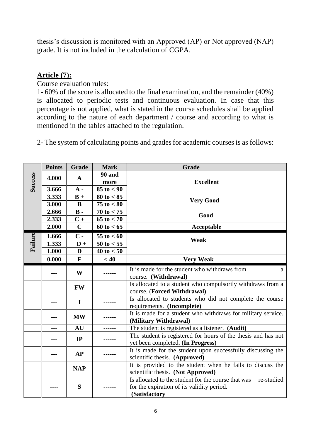thesis's discussion is monitored with an Approved (AP) or Not approved (NAP) grade. It is not included in the calculation of CGPA.

#### **Article (7):**

Course evaluation rules:

1- 60% of the score is allocated to the final examination, and the remainder (40%) is allocated to periodic tests and continuous evaluation. In case that this percentage is not applied, what is stated in the course schedules shall be applied according to the nature of each department / course and according to what is mentioned in the tables attached to the regulation.

2- The system of calculating points and grades for academic courses is as follows:

|                | <b>Points</b> | Grade          | <b>Mark</b>                                                                                        | <b>Grade</b>                                                      |  |
|----------------|---------------|----------------|----------------------------------------------------------------------------------------------------|-------------------------------------------------------------------|--|
| <b>Success</b> | 4.000         | $\mathbf A$    | <b>90 and</b>                                                                                      |                                                                   |  |
|                |               |                | more                                                                                               | <b>Excellent</b>                                                  |  |
|                | 3.666         | $A -$          | $85 \text{ to } < 90$                                                                              |                                                                   |  |
|                | 3.333         | $B +$          | $80 \text{ to } < 85$                                                                              | <b>Very Good</b>                                                  |  |
|                | 3.000         | $\bf{B}$       | $75$ to $< 80$                                                                                     |                                                                   |  |
|                | 2.666         | $\mathbf{B}$ - | $70 \text{ to } < 75$                                                                              | Good                                                              |  |
|                | 2.333         | $C +$          | $65 \text{ to} < 70$                                                                               |                                                                   |  |
|                | 2.000         | $\mathbf C$    | $60 \text{ to } < 65$                                                                              | Acceptable                                                        |  |
|                | 1.666         | $\mathbf{C}$ - | $55 \text{ to } < 60$                                                                              | Weak                                                              |  |
| Failure        | 1.333         | $D +$          | $50 \text{ to } < 55$                                                                              |                                                                   |  |
|                | 1.000         | D              | $40 \text{ to } < 50$                                                                              |                                                                   |  |
|                | 0.000         | $\mathbf{F}$   | < 40                                                                                               | <b>Very Weak</b>                                                  |  |
|                | W             |                |                                                                                                    | It is made for the student who withdraws from<br>a                |  |
|                |               |                |                                                                                                    | course. (Withdrawal)                                              |  |
|                |               | <b>FW</b>      |                                                                                                    | Is allocated to a student who compulsorily withdraws from a       |  |
|                |               |                |                                                                                                    | course. (Forced Withdrawal)                                       |  |
|                | $\mathbf I$   |                |                                                                                                    | Is allocated to students who did not complete the course          |  |
|                |               |                |                                                                                                    | requirements. (Incomplete)                                        |  |
|                | <b>MW</b>     |                |                                                                                                    | It is made for a student who withdraws for military service.      |  |
|                |               |                |                                                                                                    | (Military Withdrawal)                                             |  |
|                | ---           | <b>AU</b>      | ------                                                                                             | The student is registered as a listener. (Audit)                  |  |
|                | IP            |                | The student is registered for hours of the thesis and has not<br>yet been completed. (In Progress) |                                                                   |  |
|                | AP            |                |                                                                                                    | It is made for the student upon successfully discussing the       |  |
|                |               |                |                                                                                                    | scientific thesis. (Approved)                                     |  |
|                |               |                |                                                                                                    | It is provided to the student when he fails to discuss the        |  |
|                |               | <b>NAP</b>     |                                                                                                    | scientific thesis. (Not Approved)                                 |  |
|                |               | S              |                                                                                                    | Is allocated to the student for the course that was<br>re-studied |  |
|                |               |                |                                                                                                    | for the expiration of its validity period.                        |  |
|                |               |                |                                                                                                    | (Satisfactory                                                     |  |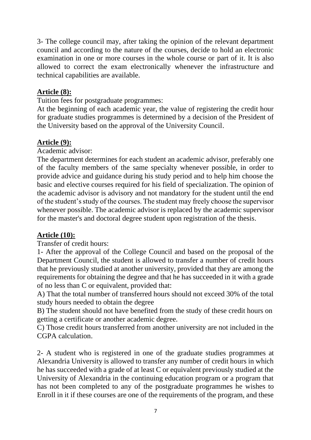3- The college council may, after taking the opinion of the relevant department council and according to the nature of the courses, decide to hold an electronic examination in one or more courses in the whole course or part of it. It is also allowed to correct the exam electronically whenever the infrastructure and technical capabilities are available.

#### **Article (8):**

Tuition fees for postgraduate programmes:

At the beginning of each academic year, the value of registering the credit hour for graduate studies programmes is determined by a decision of the President of the University based on the approval of the University Council.

#### **Article (9):**

Academic advisor:

The department determines for each student an academic advisor, preferably one of the faculty members of the same specialty whenever possible, in order to provide advice and guidance during his study period and to help him choose the basic and elective courses required for his field of specialization. The opinion of the academic advisor is advisory and not mandatory for the student until the end of the student's study of the courses. The student may freely choose the supervisor whenever possible. The academic advisor is replaced by the academic supervisor for the master's and doctoral degree student upon registration of the thesis.

#### **Article (10):**

Transfer of credit hours:

1- After the approval of the College Council and based on the proposal of the Department Council, the student is allowed to transfer a number of credit hours that he previously studied at another university, provided that they are among the requirements for obtaining the degree and that he has succeeded in it with a grade of no less than C or equivalent, provided that:

A) That the total number of transferred hours should not exceed 30% of the total study hours needed to obtain the degree

B) The student should not have benefited from the study of these credit hours on getting a certificate or another academic degree.

C) Those credit hours transferred from another university are not included in the CGPA calculation.

2- A student who is registered in one of the graduate studies programmes at Alexandria University is allowed to transfer any number of credit hours in which he has succeeded with a grade of at least C or equivalent previously studied at the University of Alexandria in the continuing education program or a program that has not been completed to any of the postgraduate programmes he wishes to Enroll in it if these courses are one of the requirements of the program, and these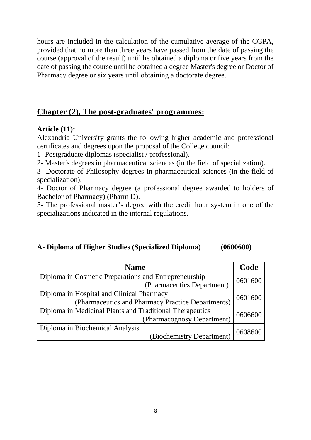hours are included in the calculation of the cumulative average of the CGPA, provided that no more than three years have passed from the date of passing the course (approval of the result) until he obtained a diploma or five years from the date of passing the course until he obtained a degree Master's degree or Doctor of Pharmacy degree or six years until obtaining a doctorate degree.

# **Chapter (2), The post-graduates' programmes:**

#### **Article (11):**

Alexandria University grants the following higher academic and professional certificates and degrees upon the proposal of the College council:

1- Postgraduate diplomas (specialist / professional).

2- Master's degrees in pharmaceutical sciences (in the field of specialization).

3- Doctorate of Philosophy degrees in pharmaceutical sciences (in the field of specialization).

4- Doctor of Pharmacy degree (a professional degree awarded to holders of Bachelor of Pharmacy) (Pharm D).

5- The professional master's degree with the credit hour system in one of the specializations indicated in the internal regulations.

#### **A- Diploma of Higher Studies (Specialized Diploma) (0600600)**

| <b>Name</b>                                              |         |  |  |  |
|----------------------------------------------------------|---------|--|--|--|
| Diploma in Cosmetic Preparations and Entrepreneurship    |         |  |  |  |
| (Pharmaceutics Department)                               | 0601600 |  |  |  |
| Diploma in Hospital and Clinical Pharmacy                |         |  |  |  |
| (Pharmaceutics and Pharmacy Practice Departments)        | 0601600 |  |  |  |
| Diploma in Medicinal Plants and Traditional Therapeutics |         |  |  |  |
| (Pharmacognosy Department)                               | 0606600 |  |  |  |
| Diploma in Biochemical Analysis                          |         |  |  |  |
| (Biochemistry Department)                                |         |  |  |  |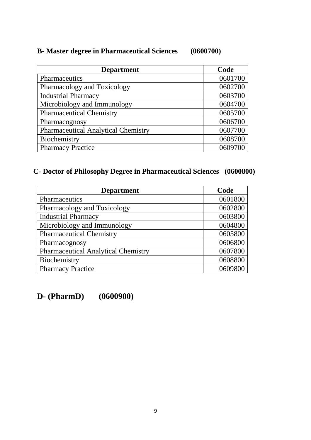# **B- Master degree in Pharmaceutical Sciences (0600700)**

| <b>Department</b>                          | Code    |
|--------------------------------------------|---------|
| Pharmaceutics                              | 0601700 |
| Pharmacology and Toxicology                | 0602700 |
| <b>Industrial Pharmacy</b>                 | 0603700 |
| Microbiology and Immunology                | 0604700 |
| <b>Pharmaceutical Chemistry</b>            | 0605700 |
| Pharmacognosy                              | 0606700 |
| <b>Pharmaceutical Analytical Chemistry</b> | 0607700 |
| Biochemistry                               | 0608700 |
| <b>Pharmacy Practice</b>                   | 0609700 |

# **C- Doctor of Philosophy Degree in Pharmaceutical Sciences (0600800)**

| <b>Department</b>                          | Code    |
|--------------------------------------------|---------|
| Pharmaceutics                              | 0601800 |
| Pharmacology and Toxicology                | 0602800 |
| <b>Industrial Pharmacy</b>                 | 0603800 |
| Microbiology and Immunology                | 0604800 |
| <b>Pharmaceutical Chemistry</b>            | 0605800 |
| Pharmacognosy                              | 0606800 |
| <b>Pharmaceutical Analytical Chemistry</b> | 0607800 |
| Biochemistry                               | 0608800 |
| <b>Pharmacy Practice</b>                   | 0609800 |

**D- (PharmD) (0600900)**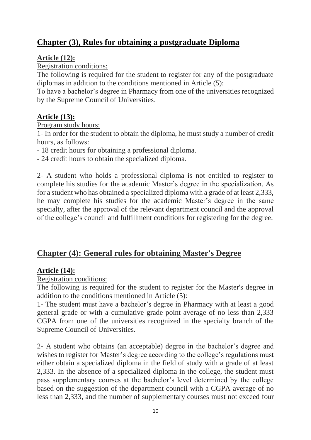# **Chapter (3), Rules for obtaining a postgraduate Diploma**

#### **Article (12):**

Registration conditions:

The following is required for the student to register for any of the postgraduate diplomas in addition to the conditions mentioned in Article (5):

To have a bachelor's degree in Pharmacy from one of the universities recognized by the Supreme Council of Universities.

# **Article (13):**

Program study hours:

1- In order for the student to obtain the diploma, he must study a number of credit hours, as follows:

- 18 credit hours for obtaining a professional diploma.

- 24 credit hours to obtain the specialized diploma.

2- A student who holds a professional diploma is not entitled to register to complete his studies for the academic Master's degree in the specialization. As for a student who has obtained a specialized diploma with a grade of at least 2,333, he may complete his studies for the academic Master's degree in the same specialty, after the approval of the relevant department council and the approval of the college's council and fulfillment conditions for registering for the degree.

# **Chapter (4): General rules for obtaining Master's Degree**

# **Article (14):**

Registration conditions:

The following is required for the student to register for the Master's degree in addition to the conditions mentioned in Article (5):

1- The student must have a bachelor's degree in Pharmacy with at least a good general grade or with a cumulative grade point average of no less than 2,333 CGPA from one of the universities recognized in the specialty branch of the Supreme Council of Universities.

2- A student who obtains (an acceptable) degree in the bachelor's degree and wishes to register for Master's degree according to the college's regulations must either obtain a specialized diploma in the field of study with a grade of at least 2,333. In the absence of a specialized diploma in the college, the student must pass supplementary courses at the bachelor's level determined by the college based on the suggestion of the department council with a CGPA average of no less than 2,333, and the number of supplementary courses must not exceed four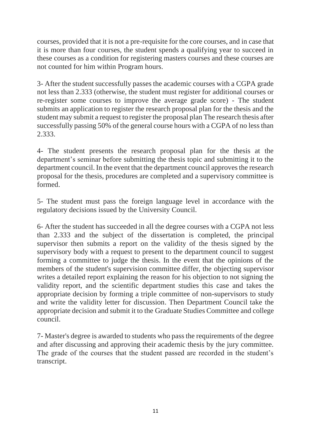courses, provided that it is not a pre-requisite for the core courses, and in case that it is more than four courses, the student spends a qualifying year to succeed in these courses as a condition for registering masters courses and these courses are not counted for him within Program hours.

3- After the student successfully passes the academic courses with a CGPA grade not less than 2.333 (otherwise, the student must register for additional courses or re-register some courses to improve the average grade score) - The student submits an application to register the research proposal plan for the thesis and the student may submit a request to register the proposal plan The research thesis after successfully passing 50% of the general course hours with a CGPA of no less than 2.333.

4- The student presents the research proposal plan for the thesis at the department's seminar before submitting the thesis topic and submitting it to the department council. In the event that the department council approves the research proposal for the thesis, procedures are completed and a supervisory committee is formed.

5- The student must pass the foreign language level in accordance with the regulatory decisions issued by the University Council.

6- After the student has succeeded in all the degree courses with a CGPA not less than 2.333 and the subject of the dissertation is completed, the principal supervisor then submits a report on the validity of the thesis signed by the supervisory body with a request to present to the department council to suggest forming a committee to judge the thesis. In the event that the opinions of the members of the student's supervision committee differ, the objecting supervisor writes a detailed report explaining the reason for his objection to not signing the validity report, and the scientific department studies this case and takes the appropriate decision by forming a triple committee of non-supervisors to study and write the validity letter for discussion. Then Department Council take the appropriate decision and submit it to the Graduate Studies Committee and college council.

7- Master's degree is awarded to students who pass the requirements of the degree and after discussing and approving their academic thesis by the jury committee. The grade of the courses that the student passed are recorded in the student's transcript.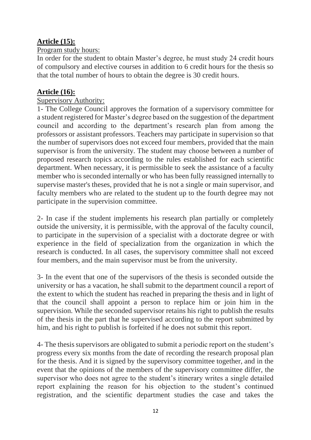# **Article (15):**

#### Program study hours:

In order for the student to obtain Master's degree, he must study 24 credit hours of compulsory and elective courses in addition to 6 credit hours for the thesis so that the total number of hours to obtain the degree is 30 credit hours.

#### **Article (16):**

#### Supervisory Authority:

1- The College Council approves the formation of a supervisory committee for a student registered for Master's degree based on the suggestion of the department council and according to the department's research plan from among the professors or assistant professors. Teachers may participate in supervision so that the number of supervisors does not exceed four members, provided that the main supervisor is from the university. The student may choose between a number of proposed research topics according to the rules established for each scientific department. When necessary, it is permissible to seek the assistance of a faculty member who is seconded internally or who has been fully reassigned internally to supervise master's theses, provided that he is not a single or main supervisor, and faculty members who are related to the student up to the fourth degree may not participate in the supervision committee.

2- In case if the student implements his research plan partially or completely outside the university, it is permissible, with the approval of the faculty council, to participate in the supervision of a specialist with a doctorate degree or with experience in the field of specialization from the organization in which the research is conducted. In all cases, the supervisory committee shall not exceed four members, and the main supervisor must be from the university.

3- In the event that one of the supervisors of the thesis is seconded outside the university or has a vacation, he shall submit to the department council a report of the extent to which the student has reached in preparing the thesis and in light of that the council shall appoint a person to replace him or join him in the supervision. While the seconded supervisor retains his right to publish the results of the thesis in the part that he supervised according to the report submitted by him, and his right to publish is forfeited if he does not submit this report.

4- The thesis supervisors are obligated to submit a periodic report on the student's progress every six months from the date of recording the research proposal plan for the thesis. And it is signed by the supervisory committee together, and in the event that the opinions of the members of the supervisory committee differ, the supervisor who does not agree to the student's itinerary writes a single detailed report explaining the reason for his objection to the student's continued registration, and the scientific department studies the case and takes the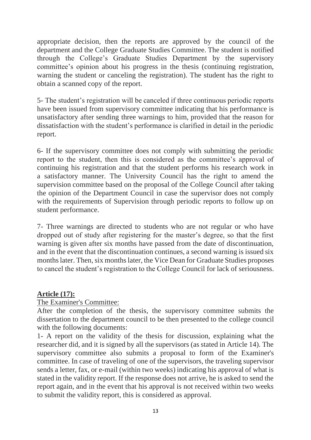appropriate decision, then the reports are approved by the council of the department and the College Graduate Studies Committee. The student is notified through the College's Graduate Studies Department by the supervisory committee's opinion about his progress in the thesis (continuing registration, warning the student or canceling the registration). The student has the right to obtain a scanned copy of the report.

5- The student's registration will be canceled if three continuous periodic reports have been issued from supervisory committee indicating that his performance is unsatisfactory after sending three warnings to him, provided that the reason for dissatisfaction with the student's performance is clarified in detail in the periodic report.

6- If the supervisory committee does not comply with submitting the periodic report to the student, then this is considered as the committee's approval of continuing his registration and that the student performs his research work in a satisfactory manner. The University Council has the right to amend the supervision committee based on the proposal of the College Council after taking the opinion of the Department Council in case the supervisor does not comply with the requirements of Supervision through periodic reports to follow up on student performance.

7- Three warnings are directed to students who are not regular or who have dropped out of study after registering for the master's degree, so that the first warning is given after six months have passed from the date of discontinuation, and in the event that the discontinuation continues, a second warning is issued six months later. Then, six months later, the Vice Dean for Graduate Studies proposes to cancel the student's registration to the College Council for lack of seriousness.

#### **Article (17):**

#### The Examiner's Committee:

After the completion of the thesis, the supervisory committee submits the dissertation to the department council to be then presented to the college council with the following documents:

1- A report on the validity of the thesis for discussion, explaining what the researcher did, and it is signed by all the supervisors (as stated in Article 14). The supervisory committee also submits a proposal to form of the Examiner's committee. In case of traveling of one of the supervisors, the traveling supervisor sends a letter, fax, or e-mail (within two weeks) indicating his approval of what is stated in the validity report. If the response does not arrive, he is asked to send the report again, and in the event that his approval is not received within two weeks to submit the validity report, this is considered as approval.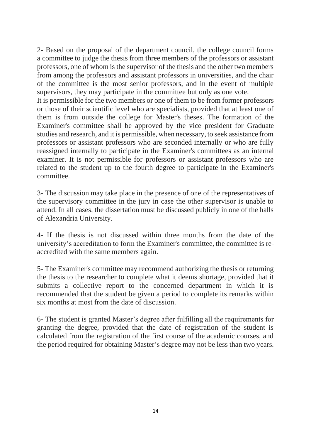2- Based on the proposal of the department council, the college council forms a committee to judge the thesis from three members of the professors or assistant professors, one of whom is the supervisor of the thesis and the other two members from among the professors and assistant professors in universities, and the chair of the committee is the most senior professors, and in the event of multiple supervisors, they may participate in the committee but only as one vote.

It is permissible for the two members or one of them to be from former professors or those of their scientific level who are specialists, provided that at least one of them is from outside the college for Master's theses. The formation of the Examiner's committee shall be approved by the vice president for Graduate studies and research, and it is permissible, when necessary, to seek assistance from professors or assistant professors who are seconded internally or who are fully reassigned internally to participate in the Examiner's committees as an internal examiner. It is not permissible for professors or assistant professors who are related to the student up to the fourth degree to participate in the Examiner's committee.

3- The discussion may take place in the presence of one of the representatives of the supervisory committee in the jury in case the other supervisor is unable to attend. In all cases, the dissertation must be discussed publicly in one of the halls of Alexandria University.

4- If the thesis is not discussed within three months from the date of the university's accreditation to form the Examiner's committee, the committee is reaccredited with the same members again.

5- The Examiner's committee may recommend authorizing the thesis or returning the thesis to the researcher to complete what it deems shortage, provided that it submits a collective report to the concerned department in which it is recommended that the student be given a period to complete its remarks within six months at most from the date of discussion.

6- The student is granted Master's degree after fulfilling all the requirements for granting the degree, provided that the date of registration of the student is calculated from the registration of the first course of the academic courses, and the period required for obtaining Master's degree may not be less than two years.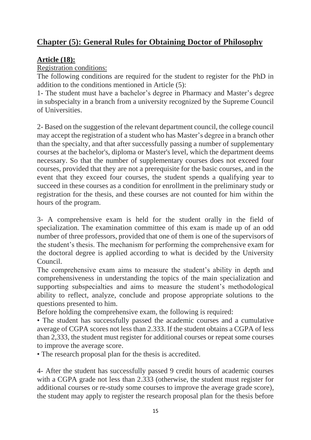# **Chapter (5): General Rules for Obtaining Doctor of Philosophy**

### **Article (18):**

Registration conditions:

The following conditions are required for the student to register for the PhD in addition to the conditions mentioned in Article (5):

1- The student must have a bachelor's degree in Pharmacy and Master's degree in subspecialty in a branch from a university recognized by the Supreme Council of Universities.

2- Based on the suggestion of the relevant department council, the college council may accept the registration of a student who has Master's degree in a branch other than the specialty, and that after successfully passing a number of supplementary courses at the bachelor's, diploma or Master's level, which the department deems necessary. So that the number of supplementary courses does not exceed four courses, provided that they are not a prerequisite for the basic courses, and in the event that they exceed four courses, the student spends a qualifying year to succeed in these courses as a condition for enrollment in the preliminary study or registration for the thesis, and these courses are not counted for him within the hours of the program.

3- A comprehensive exam is held for the student orally in the field of specialization. The examination committee of this exam is made up of an odd number of three professors, provided that one of them is one of the supervisors of the student's thesis. The mechanism for performing the comprehensive exam for the doctoral degree is applied according to what is decided by the University Council.

The comprehensive exam aims to measure the student's ability in depth and comprehensiveness in understanding the topics of the main specialization and supporting subspecialties and aims to measure the student's methodological ability to reflect, analyze, conclude and propose appropriate solutions to the questions presented to him.

Before holding the comprehensive exam, the following is required:

• The student has successfully passed the academic courses and a cumulative average of CGPA scores not less than 2.333. If the student obtains a CGPA of less than 2,333, the student must register for additional courses or repeat some courses to improve the average score.

• The research proposal plan for the thesis is accredited.

4- After the student has successfully passed 9 credit hours of academic courses with a CGPA grade not less than 2.333 (otherwise, the student must register for additional courses or re-study some courses to improve the average grade score), the student may apply to register the research proposal plan for the thesis before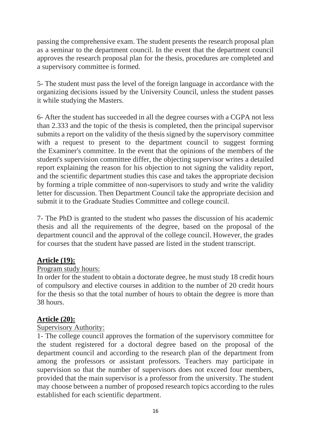passing the comprehensive exam. The student presents the research proposal plan as a seminar to the department council. In the event that the department council approves the research proposal plan for the thesis, procedures are completed and a supervisory committee is formed.

5- The student must pass the level of the foreign language in accordance with the organizing decisions issued by the University Council, unless the student passes it while studying the Masters.

6- After the student has succeeded in all the degree courses with a CGPA not less than 2.333 and the topic of the thesis is completed, then the principal supervisor submits a report on the validity of the thesis signed by the supervisory committee with a request to present to the department council to suggest forming the Examiner's committee. In the event that the opinions of the members of the student's supervision committee differ, the objecting supervisor writes a detailed report explaining the reason for his objection to not signing the validity report, and the scientific department studies this case and takes the appropriate decision by forming a triple committee of non-supervisors to study and write the validity letter for discussion. Then Department Council take the appropriate decision and submit it to the Graduate Studies Committee and college council.

7- The PhD is granted to the student who passes the discussion of his academic thesis and all the requirements of the degree, based on the proposal of the department council and the approval of the college council. However, the grades for courses that the student have passed are listed in the student transcript.

#### **Article (19):**

#### Program study hours:

In order for the student to obtain a doctorate degree, he must study 18 credit hours of compulsory and elective courses in addition to the number of 20 credit hours for the thesis so that the total number of hours to obtain the degree is more than 38 hours.

# **Article (20):**

#### Supervisory Authority:

1- The college council approves the formation of the supervisory committee for the student registered for a doctoral degree based on the proposal of the department council and according to the research plan of the department from among the professors or assistant professors. Teachers may participate in supervision so that the number of supervisors does not exceed four members, provided that the main supervisor is a professor from the university. The student may choose between a number of proposed research topics according to the rules established for each scientific department.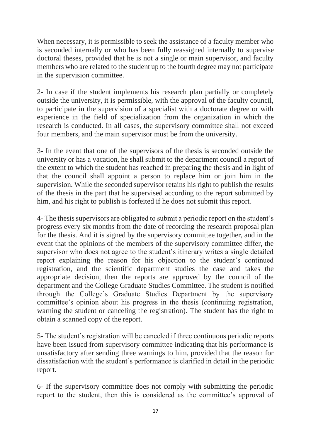When necessary, it is permissible to seek the assistance of a faculty member who is seconded internally or who has been fully reassigned internally to supervise doctoral theses, provided that he is not a single or main supervisor, and faculty members who are related to the student up to the fourth degree may not participate in the supervision committee.

2- In case if the student implements his research plan partially or completely outside the university, it is permissible, with the approval of the faculty council, to participate in the supervision of a specialist with a doctorate degree or with experience in the field of specialization from the organization in which the research is conducted. In all cases, the supervisory committee shall not exceed four members, and the main supervisor must be from the university.

3- In the event that one of the supervisors of the thesis is seconded outside the university or has a vacation, he shall submit to the department council a report of the extent to which the student has reached in preparing the thesis and in light of that the council shall appoint a person to replace him or join him in the supervision. While the seconded supervisor retains his right to publish the results of the thesis in the part that he supervised according to the report submitted by him, and his right to publish is forfeited if he does not submit this report.

4- The thesis supervisors are obligated to submit a periodic report on the student's progress every six months from the date of recording the research proposal plan for the thesis. And it is signed by the supervisory committee together, and in the event that the opinions of the members of the supervisory committee differ, the supervisor who does not agree to the student's itinerary writes a single detailed report explaining the reason for his objection to the student's continued registration, and the scientific department studies the case and takes the appropriate decision, then the reports are approved by the council of the department and the College Graduate Studies Committee. The student is notified through the College's Graduate Studies Department by the supervisory committee's opinion about his progress in the thesis (continuing registration, warning the student or canceling the registration). The student has the right to obtain a scanned copy of the report.

5- The student's registration will be canceled if three continuous periodic reports have been issued from supervisory committee indicating that his performance is unsatisfactory after sending three warnings to him, provided that the reason for dissatisfaction with the student's performance is clarified in detail in the periodic report.

6- If the supervisory committee does not comply with submitting the periodic report to the student, then this is considered as the committee's approval of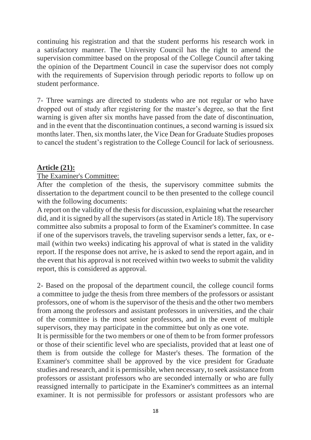continuing his registration and that the student performs his research work in a satisfactory manner. The University Council has the right to amend the supervision committee based on the proposal of the College Council after taking the opinion of the Department Council in case the supervisor does not comply with the requirements of Supervision through periodic reports to follow up on student performance.

7- Three warnings are directed to students who are not regular or who have dropped out of study after registering for the master's degree, so that the first warning is given after six months have passed from the date of discontinuation, and in the event that the discontinuation continues, a second warning is issued six months later. Then, six months later, the Vice Dean for Graduate Studies proposes to cancel the student's registration to the College Council for lack of seriousness.

#### **Article (21):**

#### The Examiner's Committee:

After the completion of the thesis, the supervisory committee submits the dissertation to the department council to be then presented to the college council with the following documents:

A report on the validity of the thesis for discussion, explaining what the researcher did, and it is signed by all the supervisors (as stated in Article 18). The supervisory committee also submits a proposal to form of the Examiner's committee. In case if one of the supervisors travels, the traveling supervisor sends a letter, fax, or email (within two weeks) indicating his approval of what is stated in the validity report. If the response does not arrive, he is asked to send the report again, and in the event that his approval is not received within two weeks to submit the validity report, this is considered as approval.

2- Based on the proposal of the department council, the college council forms a committee to judge the thesis from three members of the professors or assistant professors, one of whom is the supervisor of the thesis and the other two members from among the professors and assistant professors in universities, and the chair of the committee is the most senior professors, and in the event of multiple supervisors, they may participate in the committee but only as one vote.

It is permissible for the two members or one of them to be from former professors or those of their scientific level who are specialists, provided that at least one of them is from outside the college for Master's theses. The formation of the Examiner's committee shall be approved by the vice president for Graduate studies and research, and it is permissible, when necessary, to seek assistance from professors or assistant professors who are seconded internally or who are fully reassigned internally to participate in the Examiner's committees as an internal examiner. It is not permissible for professors or assistant professors who are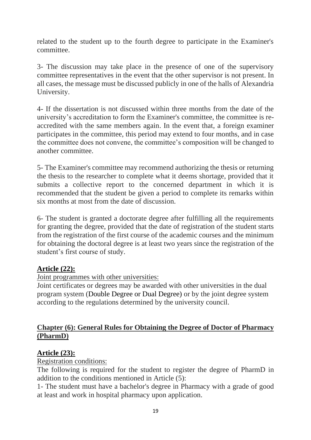related to the student up to the fourth degree to participate in the Examiner's committee.

3- The discussion may take place in the presence of one of the supervisory committee representatives in the event that the other supervisor is not present. In all cases, the message must be discussed publicly in one of the halls of Alexandria University.

4- If the dissertation is not discussed within three months from the date of the university's accreditation to form the Examiner's committee, the committee is reaccredited with the same members again. In the event that, a foreign examiner participates in the committee, this period may extend to four months, and in case the committee does not convene, the committee's composition will be changed to another committee.

5- The Examiner's committee may recommend authorizing the thesis or returning the thesis to the researcher to complete what it deems shortage, provided that it submits a collective report to the concerned department in which it is recommended that the student be given a period to complete its remarks within six months at most from the date of discussion.

6- The student is granted a doctorate degree after fulfilling all the requirements for granting the degree, provided that the date of registration of the student starts from the registration of the first course of the academic courses and the minimum for obtaining the doctoral degree is at least two years since the registration of the student's first course of study.

#### **Article (22):**

Joint programmes with other universities:

Joint certificates or degrees may be awarded with other universities in the dual program system (Double Degree or Dual Degree) or by the joint degree system according to the regulations determined by the university council.

#### **Chapter (6): General Rules for Obtaining the Degree of Doctor of Pharmacy (PharmD)**

#### **Article (23):**

Registration conditions:

The following is required for the student to register the degree of PharmD in addition to the conditions mentioned in Article (5):

1- The student must have a bachelor's degree in Pharmacy with a grade of good at least and work in hospital pharmacy upon application.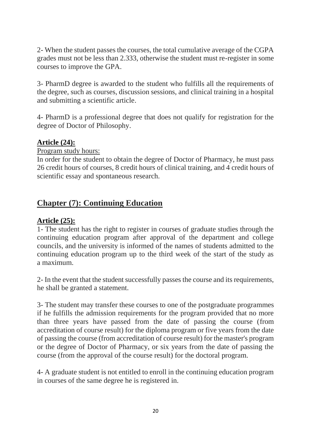2- When the student passes the courses, the total cumulative average of the CGPA grades must not be less than 2.333, otherwise the student must re-register in some courses to improve the GPA.

3- PharmD degree is awarded to the student who fulfills all the requirements of the degree, such as courses, discussion sessions, and clinical training in a hospital and submitting a scientific article.

4- PharmD is a professional degree that does not qualify for registration for the degree of Doctor of Philosophy.

### **Article (24):**

Program study hours:

In order for the student to obtain the degree of Doctor of Pharmacy, he must pass 26 credit hours of courses, 8 credit hours of clinical training, and 4 credit hours of scientific essay and spontaneous research.

# **Chapter (7): Continuing Education**

#### **Article (25):**

1- The student has the right to register in courses of graduate studies through the continuing education program after approval of the department and college councils, and the university is informed of the names of students admitted to the continuing education program up to the third week of the start of the study as a maximum.

2- In the event that the student successfully passes the course and its requirements, he shall be granted a statement.

3- The student may transfer these courses to one of the postgraduate programmes if he fulfills the admission requirements for the program provided that no more than three years have passed from the date of passing the course (from accreditation of course result) for the diploma program or five years from the date of passing the course (from accreditation of course result) for the master's program or the degree of Doctor of Pharmacy, or six years from the date of passing the course (from the approval of the course result) for the doctoral program.

4- A graduate student is not entitled to enroll in the continuing education program in courses of the same degree he is registered in.